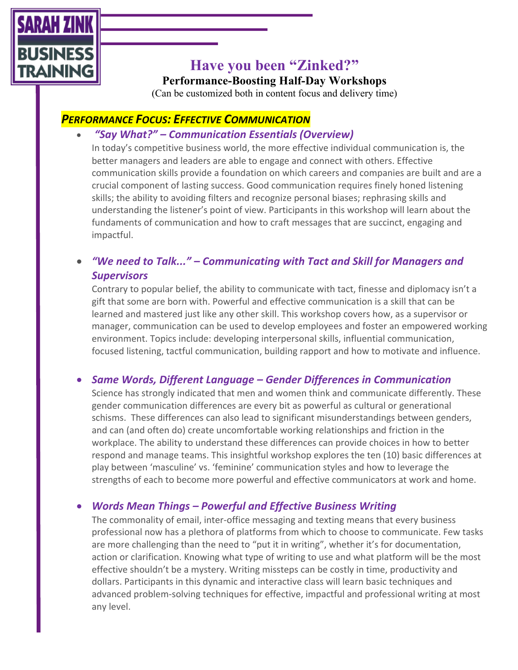

# **Have you been "Zinked?"**

**Performance-Boosting Half-Day Workshops**

(Can be customized both in content focus and delivery time)

# *PERFORMANCE FOCUS: EFFECTIVE COMMUNICATION*

# • *"Say What?" – Communication Essentials (Overview)*

In today's competitive business world, the more effective individual communication is, the better managers and leaders are able to engage and connect with others. Effective communication skills provide a foundation on which careers and companies are built and are a crucial component of lasting success. Good communication requires finely honed listening skills; the ability to avoiding filters and recognize personal biases; rephrasing skills and understanding the listener's point of view. Participants in this workshop will learn about the fundaments of communication and how to craft messages that are succinct, engaging and impactful.

# • *"We need to Talk..." – Communicating with Tact and Skill for Managers and Supervisors*

Contrary to popular belief, the ability to communicate with tact, finesse and diplomacy isn't a gift that some are born with. Powerful and effective communication is a skill that can be learned and mastered just like any other skill. This workshop covers how, as a supervisor or manager, communication can be used to develop employees and foster an empowered working environment. Topics include: developing interpersonal skills, influential communication, focused listening, tactful communication, building rapport and how to motivate and influence.

# • *Same Words, Different Language – Gender Differences in Communication*

Science has strongly indicated that men and women think and communicate differently. These gender communication differences are every bit as powerful as cultural or generational schisms. These differences can also lead to significant misunderstandings between genders, and can (and often do) create uncomfortable working relationships and friction in the workplace. The ability to understand these differences can provide choices in how to better respond and manage teams. This insightful workshop explores the ten (10) basic differences at play between 'masculine' vs. 'feminine' communication styles and how to leverage the strengths of each to become more powerful and effective communicators at work and home.

# • *Words Mean Things – Powerful and Effective Business Writing*

The commonality of email, inter-office messaging and texting means that every business professional now has a plethora of platforms from which to choose to communicate. Few tasks are more challenging than the need to "put it in writing", whether it's for documentation, action or clarification. Knowing what type of writing to use and what platform will be the most effective shouldn't be a mystery. Writing missteps can be costly in time, productivity and dollars. Participants in this dynamic and interactive class will learn basic techniques and advanced problem-solving techniques for effective, impactful and professional writing at most any level.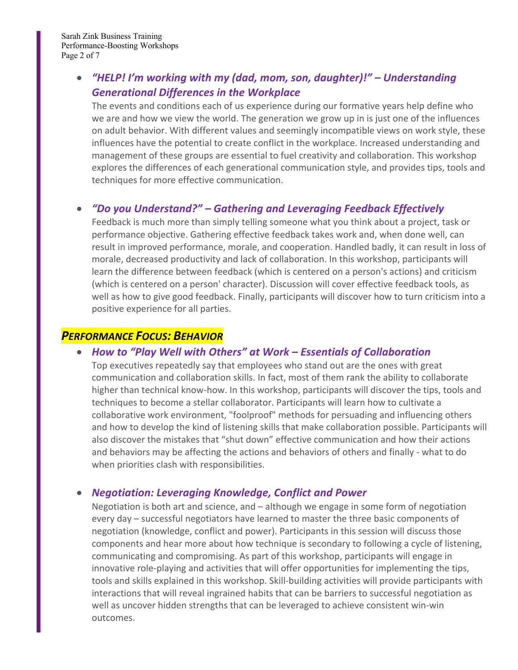# • *"HELP! I'm working with my (dad, mom, son, daughter)!" – Understanding Generational Differences in the Workplace*

The events and conditions each of us experience during our formative years help define who we are and how we view the world. The generation we grow up in is just one of the influences on adult behavior. With different values and seemingly incompatible views on work style, these influences have the potential to create conflict in the workplace. Increased understanding and management of these groups are essential to fuel creativity and collaboration. This workshop explores the differences of each generational communication style, and provides tips, tools and techniques for more effective communication.

#### • *"Do you Understand?" – Gathering and Leveraging Feedback Effectively*

Feedback is much more than simply telling someone what you think about a project, task or performance objective. Gathering effective feedback takes work and, when done well, can result in improved performance, morale, and cooperation. Handled badly, it can result in loss of morale, decreased productivity and lack of collaboration. In this workshop, participants will learn the difference between feedback (which is centered on a person's actions) and criticism (which is centered on a person' character). Discussion will cover effective feedback tools, as well as how to give good feedback. Finally, participants will discover how to turn criticism into a positive experience for all parties.

#### *PERFORMANCE FOCUS: BEHAVIOR*

#### • *How to "Play Well with Others" at Work – Essentials of Collaboration*

Top executives repeatedly say that employees who stand out are the ones with great communication and collaboration skills. In fact, most of them rank the ability to collaborate higher than technical know-how. In this workshop, participants will discover the tips, tools and techniques to become a stellar collaborator. Participants will learn how to cultivate a collaborative work environment, "foolproof" methods for persuading and influencing others and how to develop the kind of listening skills that make collaboration possible. Participants will also discover the mistakes that "shut down" effective communication and how their actions and behaviors may be affecting the actions and behaviors of others and finally - what to do when priorities clash with responsibilities.

#### • *Negotiation: Leveraging Knowledge, Conflict and Power*

Negotiation is both art and science, and – although we engage in some form of negotiation every day – successful negotiators have learned to master the three basic components of negotiation (knowledge, conflict and power). Participants in this session will discuss those components and hear more about how technique is secondary to following a cycle of listening, communicating and compromising. As part of this workshop, participants will engage in innovative role-playing and activities that will offer opportunities for implementing the tips, tools and skills explained in this workshop. Skill-building activities will provide participants with interactions that will reveal ingrained habits that can be barriers to successful negotiation as well as uncover hidden strengths that can be leveraged to achieve consistent win-win outcomes.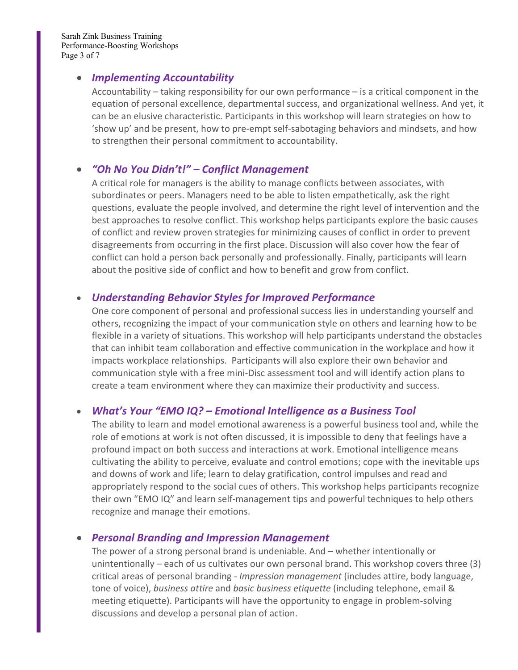Sarah Zink Business Training Performance-Boosting Workshops Page 3 of 7

#### • *Implementing Accountability*

Accountability – taking responsibility for our own performance – is a critical component in the equation of personal excellence, departmental success, and organizational wellness. And yet, it can be an elusive characteristic. Participants in this workshop will learn strategies on how to 'show up' and be present, how to pre-empt self-sabotaging behaviors and mindsets, and how to strengthen their personal commitment to accountability.

## • *"Oh No You Didn't!" – Conflict Management*

A critical role for managers is the ability to manage conflicts between associates, with subordinates or peers. Managers need to be able to listen empathetically, ask the right questions, evaluate the people involved, and determine the right level of intervention and the best approaches to resolve conflict. This workshop helps participants explore the basic causes of conflict and review proven strategies for minimizing causes of conflict in order to prevent disagreements from occurring in the first place. Discussion will also cover how the fear of conflict can hold a person back personally and professionally. Finally, participants will learn about the positive side of conflict and how to benefit and grow from conflict.

#### • *Understanding Behavior Styles for Improved Performance*

One core component of personal and professional success lies in understanding yourself and others, recognizing the impact of your communication style on others and learning how to be flexible in a variety of situations. This workshop will help participants understand the obstacles that can inhibit team collaboration and effective communication in the workplace and how it impacts workplace relationships. Participants will also explore their own behavior and communication style with a free mini-Disc assessment tool and will identify action plans to create a team environment where they can maximize their productivity and success.

#### • *What's Your "EMO IQ? – Emotional Intelligence as a Business Tool*

The ability to learn and model emotional awareness is a powerful business tool and, while the role of emotions at work is not often discussed, it is impossible to deny that feelings have a profound impact on both success and interactions at work. Emotional intelligence means cultivating the ability to perceive, evaluate and control emotions; cope with the inevitable ups and downs of work and life; learn to delay gratification, control impulses and read and appropriately respond to the social cues of others. This workshop helps participants recognize their own "EMO IQ" and learn self-management tips and powerful techniques to help others recognize and manage their emotions.

#### • *Personal Branding and Impression Management*

The power of a strong personal brand is undeniable. And – whether intentionally or unintentionally – each of us cultivates our own personal brand. This workshop covers three (3) critical areas of personal branding - *Impression management* (includes attire, body language, tone of voice), *business attire* and *basic business etiquette* (including telephone, email & meeting etiquette). Participants will have the opportunity to engage in problem-solving discussions and develop a personal plan of action.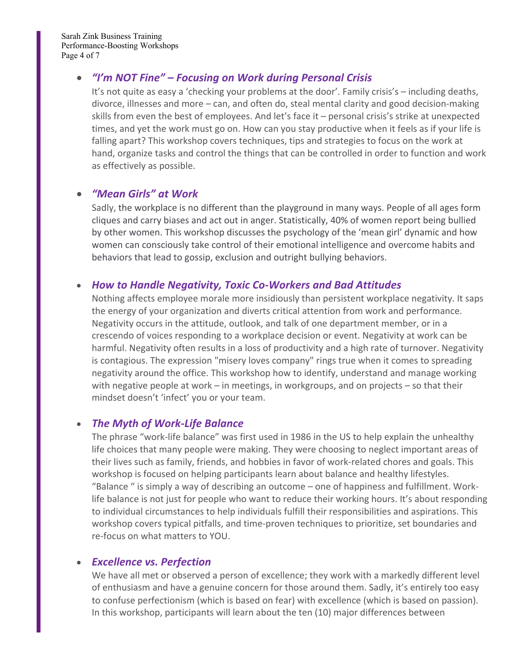#### • *"I'm NOT Fine" – Focusing on Work during Personal Crisis*

It's not quite as easy a 'checking your problems at the door'. Family crisis's – including deaths, divorce, illnesses and more – can, and often do, steal mental clarity and good decision-making skills from even the best of employees. And let's face it – personal crisis's strike at unexpected times, and yet the work must go on. How can you stay productive when it feels as if your life is falling apart? This workshop covers techniques, tips and strategies to focus on the work at hand, organize tasks and control the things that can be controlled in order to function and work as effectively as possible.

#### • *"Mean Girls" at Work*

Sadly, the workplace is no different than the playground in many ways. People of all ages form cliques and carry biases and act out in anger. Statistically, 40% of women report being bullied by other women. This workshop discusses the psychology of the 'mean girl' dynamic and how women can consciously take control of their emotional intelligence and overcome habits and behaviors that lead to gossip, exclusion and outright bullying behaviors.

#### • *How to Handle Negativity, Toxic Co-Workers and Bad Attitudes*

Nothing affects employee morale more insidiously than persistent workplace negativity. It saps the energy of your organization and diverts critical attention from work and performance. Negativity occurs in the attitude, outlook, and talk of one department member, or in a crescendo of voices responding to a workplace decision or event. Negativity at work can be harmful. Negativity often results in a loss of productivity and a high rate of turnover. Negativity is contagious. The expression "misery loves company" rings true when it comes to spreading negativity around the office. This workshop how to identify, understand and manage working with negative people at work – in meetings, in workgroups, and on projects – so that their mindset doesn't 'infect' you or your team.

#### • *The Myth of Work-Life Balance*

The phrase "work-life balance" was first used in 1986 in the US to help explain the unhealthy life choices that many people were making. They were choosing to neglect important areas of their lives such as family, friends, and hobbies in favor of work-related chores and goals. This workshop is focused on helping participants learn about balance and healthy lifestyles. "Balance " is simply a way of describing an outcome – one of happiness and fulfillment. Worklife balance is not just for people who want to reduce their working hours. It's about responding to individual circumstances to help individuals fulfill their responsibilities and aspirations. This workshop covers typical pitfalls, and time-proven techniques to prioritize, set boundaries and re-focus on what matters to YOU.

#### • *Excellence vs. Perfection*

We have all met or observed a person of excellence; they work with a markedly different level of enthusiasm and have a genuine concern for those around them. Sadly, it's entirely too easy to confuse perfectionism (which is based on fear) with excellence (which is based on passion). In this workshop, participants will learn about the ten (10) major differences between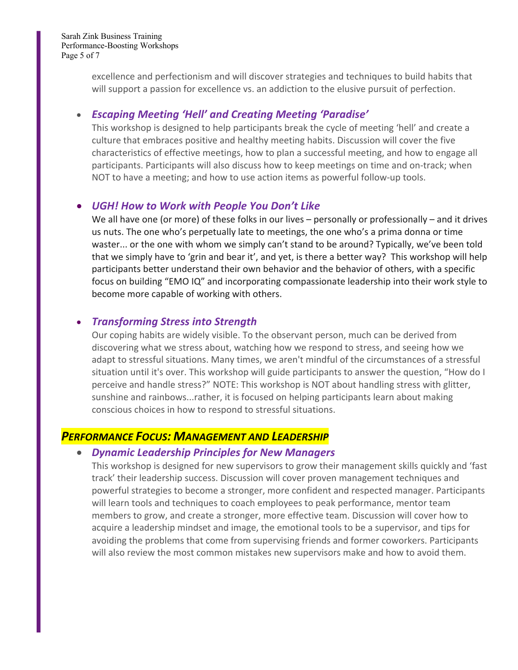excellence and perfectionism and will discover strategies and techniques to build habits that will support a passion for excellence vs. an addiction to the elusive pursuit of perfection.

## • *Escaping Meeting 'Hell' and Creating Meeting 'Paradise'*

This workshop is designed to help participants break the cycle of meeting 'hell' and create a culture that embraces positive and healthy meeting habits. Discussion will cover the five characteristics of effective meetings, how to plan a successful meeting, and how to engage all participants. Participants will also discuss how to keep meetings on time and on-track; when NOT to have a meeting; and how to use action items as powerful follow-up tools.

# • *UGH! How to Work with People You Don't Like*

We all have one (or more) of these folks in our lives – personally or professionally – and it drives us nuts. The one who's perpetually late to meetings, the one who's a prima donna or time waster... or the one with whom we simply can't stand to be around? Typically, we've been told that we simply have to 'grin and bear it', and yet, is there a better way? This workshop will help participants better understand their own behavior and the behavior of others, with a specific focus on building "EMO IQ" and incorporating compassionate leadership into their work style to become more capable of working with others.

## • *Transforming Stress into Strength*

Our coping habits are widely visible. To the observant person, much can be derived from discovering what we stress about, watching how we respond to stress, and seeing how we adapt to stressful situations. Many times, we aren't mindful of the circumstances of a stressful situation until it's over. This workshop will guide participants to answer the question, "How do I perceive and handle stress?" NOTE: This workshop is NOT about handling stress with glitter, sunshine and rainbows...rather, it is focused on helping participants learn about making conscious choices in how to respond to stressful situations.

# *PERFORMANCE FOCUS: MANAGEMENT AND LEADERSHIP*

#### • *Dynamic Leadership Principles for New Managers*

This workshop is designed for new supervisors to grow their management skills quickly and 'fast track' their leadership success. Discussion will cover proven management techniques and powerful strategies to become a stronger, more confident and respected manager. Participants will learn tools and techniques to coach employees to peak performance, mentor team members to grow, and create a stronger, more effective team. Discussion will cover how to acquire a leadership mindset and image, the emotional tools to be a supervisor, and tips for avoiding the problems that come from supervising friends and former coworkers. Participants will also review the most common mistakes new supervisors make and how to avoid them.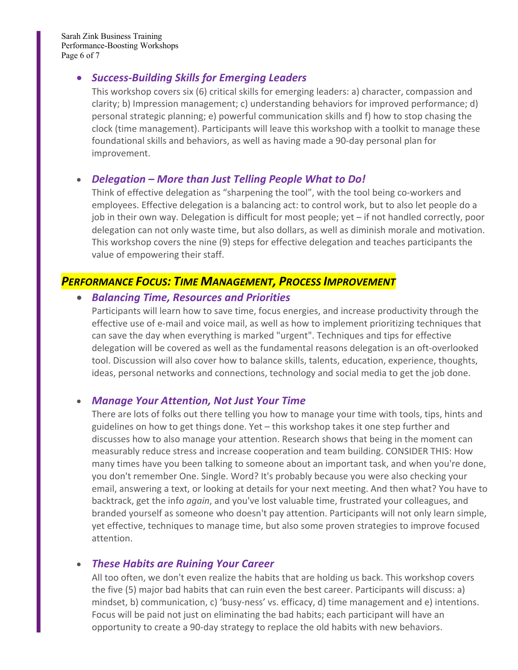Sarah Zink Business Training Performance-Boosting Workshops Page 6 of 7

#### • *Success-Building Skills for Emerging Leaders*

This workshop covers six (6) critical skills for emerging leaders: a) character, compassion and clarity; b) Impression management; c) understanding behaviors for improved performance; d) personal strategic planning; e) powerful communication skills and f) how to stop chasing the clock (time management). Participants will leave this workshop with a toolkit to manage these foundational skills and behaviors, as well as having made a 90-day personal plan for improvement.

#### • *Delegation – More than Just Telling People What to Do!*

Think of effective delegation as "sharpening the tool", with the tool being co-workers and employees. Effective delegation is a balancing act: to control work, but to also let people do a job in their own way. Delegation is difficult for most people; yet – if not handled correctly, poor delegation can not only waste time, but also dollars, as well as diminish morale and motivation. This workshop covers the nine (9) steps for effective delegation and teaches participants the value of empowering their staff.

# *PERFORMANCE FOCUS: TIME MANAGEMENT, PROCESS IMPROVEMENT*

#### • *Balancing Time, Resources and Priorities*

Participants will learn how to save time, focus energies, and increase productivity through the effective use of e-mail and voice mail, as well as how to implement prioritizing techniques that can save the day when everything is marked "urgent". Techniques and tips for effective delegation will be covered as well as the fundamental reasons delegation is an oft-overlooked tool. Discussion will also cover how to balance skills, talents, education, experience, thoughts, ideas, personal networks and connections, technology and social media to get the job done.

#### • *Manage Your Attention, Not Just Your Time*

There are lots of folks out there telling you how to manage your time with tools, tips, hints and guidelines on how to get things done. Yet – this workshop takes it one step further and discusses how to also manage your attention. Research shows that being in the moment can measurably reduce stress and increase cooperation and team building. CONSIDER THIS: How many times have you been talking to someone about an important task, and when you're done, you don't remember One. Single. Word? It's probably because you were also checking your email, answering a text, or looking at details for your next meeting. And then what? You have to backtrack, get the info *again*, and you've lost valuable time, frustrated your colleagues, and branded yourself as someone who doesn't pay attention. Participants will not only learn simple, yet effective, techniques to manage time, but also some proven strategies to improve focused attention.

#### • *These Habits are Ruining Your Career*

All too often, we don't even realize the habits that are holding us back. This workshop covers the five (5) major bad habits that can ruin even the best career. Participants will discuss: a) mindset, b) communication, c) 'busy-ness' vs. efficacy, d) time management and e) intentions. Focus will be paid not just on eliminating the bad habits; each participant will have an opportunity to create a 90-day strategy to replace the old habits with new behaviors.